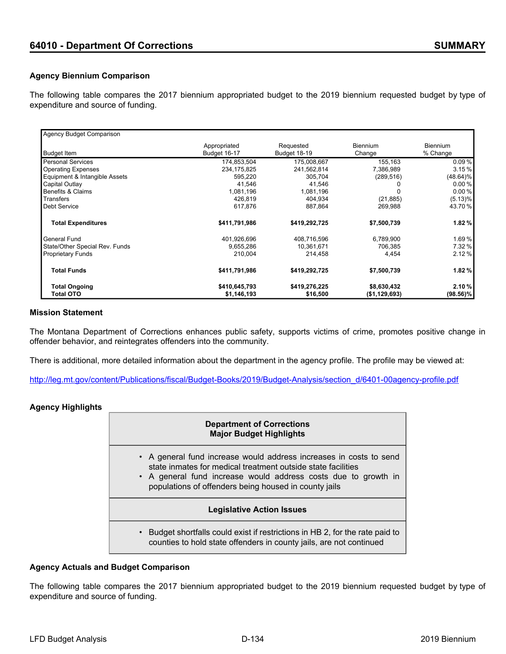# **Agency Biennium Comparison**

The following table compares the 2017 biennium appropriated budget to the 2019 biennium requested budget by type of expenditure and source of funding.

| Agency Budget Comparison          |                              |                           |                              |                      |
|-----------------------------------|------------------------------|---------------------------|------------------------------|----------------------|
|                                   | Appropriated                 | Requested                 | Biennium                     | <b>Biennium</b>      |
| <b>Budget Item</b>                | Budget 16-17                 | Budget 18-19              | Change                       | % Change             |
| <b>Personal Services</b>          | 174,853,504                  | 175,008,667               | 155,163                      | 0.09%                |
| <b>Operating Expenses</b>         | 234,175,825                  | 241,562,814               | 7,386,989                    | 3.15%                |
| Equipment & Intangible Assets     | 595,220                      | 305,704                   | (289, 516)                   | $(48.64)\%$          |
| Capital Outlay                    | 41,546                       | 41,546                    |                              | 0.00 %               |
| Benefits & Claims                 | 1,081,196                    | 1,081,196                 |                              | 0.00%                |
| Transfers                         | 426.819                      | 404,934                   | (21, 885)                    | (5.13)%              |
| Debt Service                      | 617,876                      | 887,864                   | 269,988                      | 43.70 %              |
| <b>Total Expenditures</b>         | \$411,791,986                | \$419,292,725             | \$7,500,739                  | 1.82%                |
| General Fund                      | 401,926,696                  | 408.716.596               | 6.789.900                    | 1.69%                |
| State/Other Special Rev. Funds    | 9,655,286                    | 10,361,671                | 706.385                      | 7.32 %               |
| <b>Proprietary Funds</b>          | 210,004                      | 214,458                   | 4,454                        | 2.12%                |
| <b>Total Funds</b>                | \$411,791,986                | \$419,292,725             | \$7,500,739                  | 1.82%                |
| <b>Total Ongoing</b><br>Total OTO | \$410,645,793<br>\$1,146,193 | \$419,276,225<br>\$16,500 | \$8,630,432<br>(\$1,129,693) | 2.10%<br>$(98.56)\%$ |

### **Mission Statement**

The Montana Department of Corrections enhances public safety, supports victims of crime, promotes positive change in offender behavior, and reintegrates offenders into the community.

There is additional, more detailed information about the department in the agency profile. The profile may be viewed at:

[http://leg.mt.gov/content/Publications/fiscal/Budget-Books/2019/Budget-Analysis/section\\_d/6401-00agency-profile.pdf](http://leg.mt.gov/content/Publications/fiscal/Budget-Books/2019/Budget-Analysis/section_d/6401-00agency-profile.pdf)

## **Agency Highlights**

| <b>Department of Corrections</b><br><b>Major Budget Highlights</b>                                                                                                                                                                                            |  |  |  |  |  |  |  |
|---------------------------------------------------------------------------------------------------------------------------------------------------------------------------------------------------------------------------------------------------------------|--|--|--|--|--|--|--|
| • A general fund increase would address increases in costs to send<br>state inmates for medical treatment outside state facilities<br>• A general fund increase would address costs due to growth in<br>populations of offenders being housed in county jails |  |  |  |  |  |  |  |
| <b>Legislative Action Issues</b>                                                                                                                                                                                                                              |  |  |  |  |  |  |  |
| Budget shortfalls could exist if restrictions in HB 2, for the rate paid to<br>$\bullet$<br>counties to hold state offenders in county jails, are not continued                                                                                               |  |  |  |  |  |  |  |

#### **Agency Actuals and Budget Comparison**

The following table compares the 2017 biennium appropriated budget to the 2019 biennium requested budget by type of expenditure and source of funding.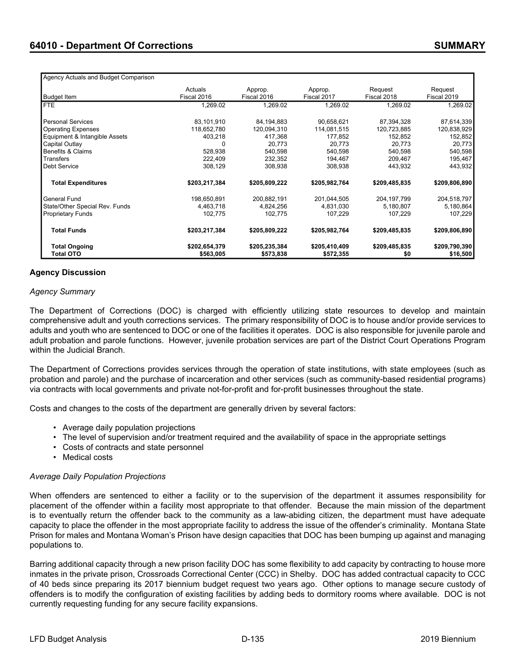| Agency Actuals and Budget Comparison |                            |                            |                            |                        |                           |
|--------------------------------------|----------------------------|----------------------------|----------------------------|------------------------|---------------------------|
| <b>Budget Item</b>                   | Actuals<br>Fiscal 2016     | Approp.<br>Fiscal 2016     | Approp.<br>Fiscal 2017     | Request<br>Fiscal 2018 | Request<br>Fiscal 2019    |
| FTE                                  | 1,269.02                   | 1,269.02                   | 1,269.02                   | 1,269.02               | 1,269.02                  |
| <b>Personal Services</b>             | 83,101,910                 | 84,194,883                 | 90,658,621                 | 87,394,328             | 87,614,339                |
| <b>Operating Expenses</b>            | 118,652,780                | 120,094,310                | 114,081,515                | 120,723,885            | 120,838,929               |
| Equipment & Intangible Assets        | 403,218                    | 417,368                    | 177,852                    | 152,852                | 152,852                   |
| Capital Outlay                       | 0                          | 20,773                     | 20.773                     | 20,773                 | 20,773                    |
| Benefits & Claims                    | 528,938                    | 540,598                    | 540,598                    | 540,598                | 540,598                   |
| <b>Transfers</b>                     | 222,409                    | 232,352                    | 194,467                    | 209,467                | 195,467                   |
| Debt Service                         | 308,129                    | 308,938                    | 308,938                    | 443,932                | 443,932                   |
| <b>Total Expenditures</b>            | \$203,217,384              | \$205,809,222              | \$205,982,764              | \$209,485,835          | \$209,806,890             |
| General Fund                         | 198,650,891                | 200,882,191                | 201,044,505                | 204, 197, 799          | 204,518,797               |
| State/Other Special Rev. Funds       | 4,463,718                  | 4,824,256                  | 4,831,030                  | 5,180,807              | 5,180,864                 |
| <b>Proprietary Funds</b>             | 102,775                    | 102,775                    | 107,229                    | 107,229                | 107,229                   |
| <b>Total Funds</b>                   | \$203,217,384              | \$205,809,222              | \$205,982,764              | \$209,485,835          | \$209,806,890             |
| <b>Total Ongoing</b><br>Total OTO    | \$202,654,379<br>\$563,005 | \$205,235,384<br>\$573,838 | \$205,410,409<br>\$572,355 | \$209,485,835<br>\$0   | \$209,790,390<br>\$16,500 |

## **Agency Discussion**

## *Agency Summary*

The Department of Corrections (DOC) is charged with efficiently utilizing state resources to develop and maintain comprehensive adult and youth corrections services. The primary responsibility of DOC is to house and/or provide services to adults and youth who are sentenced to DOC or one of the facilities it operates. DOC is also responsible for juvenile parole and adult probation and parole functions. However, juvenile probation services are part of the District Court Operations Program within the Judicial Branch.

The Department of Corrections provides services through the operation of state institutions, with state employees (such as probation and parole) and the purchase of incarceration and other services (such as community-based residential programs) via contracts with local governments and private not-for-profit and for-profit businesses throughout the state.

Costs and changes to the costs of the department are generally driven by several factors:

- Average daily population projections
- The level of supervision and/or treatment required and the availability of space in the appropriate settings
- Costs of contracts and state personnel
- Medical costs

## *Average Daily Population Projections*

When offenders are sentenced to either a facility or to the supervision of the department it assumes responsibility for placement of the offender within a facility most appropriate to that offender. Because the main mission of the department is to eventually return the offender back to the community as a law-abiding citizen, the department must have adequate capacity to place the offender in the most appropriate facility to address the issue of the offender's criminality. Montana State Prison for males and Montana Woman's Prison have design capacities that DOC has been bumping up against and managing populations to.

Barring additional capacity through a new prison facility DOC has some flexibility to add capacity by contracting to house more inmates in the private prison, Crossroads Correctional Center (CCC) in Shelby. DOC has added contractual capacity to CCC of 40 beds since preparing its 2017 biennium budget request two years ago. Other options to manage secure custody of offenders is to modify the configuration of existing facilities by adding beds to dormitory rooms where available. DOC is not currently requesting funding for any secure facility expansions.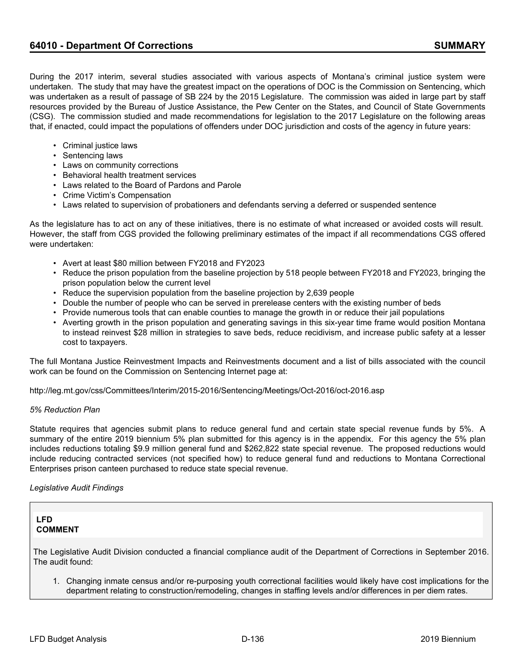During the 2017 interim, several studies associated with various aspects of Montana's criminal justice system were undertaken. The study that may have the greatest impact on the operations of DOC is the Commission on Sentencing, which was undertaken as a result of passage of SB 224 by the 2015 Legislature. The commission was aided in large part by staff resources provided by the Bureau of Justice Assistance, the Pew Center on the States, and Council of State Governments (CSG). The commission studied and made recommendations for legislation to the 2017 Legislature on the following areas that, if enacted, could impact the populations of offenders under DOC jurisdiction and costs of the agency in future years:

- Criminal justice laws
- Sentencing laws
- Laws on community corrections
- Behavioral health treatment services
- Laws related to the Board of Pardons and Parole
- Crime Victim's Compensation
- Laws related to supervision of probationers and defendants serving a deferred or suspended sentence

As the legislature has to act on any of these initiatives, there is no estimate of what increased or avoided costs will result. However, the staff from CGS provided the following preliminary estimates of the impact if all recommendations CGS offered were undertaken:

- Avert at least \$80 million between FY2018 and FY2023
- Reduce the prison population from the baseline projection by 518 people between FY2018 and FY2023, bringing the prison population below the current level
- Reduce the supervision population from the baseline projection by 2,639 people
- Double the number of people who can be served in prerelease centers with the existing number of beds
- Provide numerous tools that can enable counties to manage the growth in or reduce their jail populations
- Averting growth in the prison population and generating savings in this six-year time frame would position Montana to instead reinvest \$28 million in strategies to save beds, reduce recidivism, and increase public safety at a lesser cost to taxpayers.

The full Montana Justice Reinvestment Impacts and Reinvestments document and a list of bills associated with the council work can be found on the Commission on Sentencing Internet page at:

http://leg.mt.gov/css/Committees/Interim/2015-2016/Sentencing/Meetings/Oct-2016/oct-2016.asp

#### *5% Reduction Plan*

Statute requires that agencies submit plans to reduce general fund and certain state special revenue funds by 5%. A summary of the entire 2019 biennium 5% plan submitted for this agency is in the appendix. For this agency the 5% plan includes reductions totaling \$9.9 million general fund and \$262,822 state special revenue. The proposed reductions would include reducing contracted services (not specified how) to reduce general fund and reductions to Montana Correctional Enterprises prison canteen purchased to reduce state special revenue.

#### *Legislative Audit Findings*

#### **LFD COMMENT**

The Legislative Audit Division conducted a financial compliance audit of the Department of Corrections in September 2016. The audit found:

1. Changing inmate census and/or re-purposing youth correctional facilities would likely have cost implications for the department relating to construction/remodeling, changes in staffing levels and/or differences in per diem rates.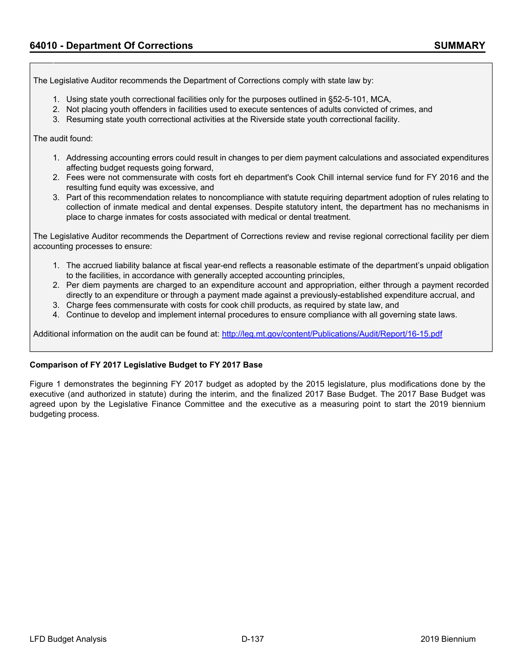The Legislative Auditor recommends the Department of Corrections comply with state law by:

- 1. Using state youth correctional facilities only for the purposes outlined in §52-5-101, MCA,
- 2. Not placing youth offenders in facilities used to execute sentences of adults convicted of crimes, and
- 3. Resuming state youth correctional activities at the Riverside state youth correctional facility.

The audit found:

- 1. Addressing accounting errors could result in changes to per diem payment calculations and associated expenditures affecting budget requests going forward,
- 2. Fees were not commensurate with costs fort eh department's Cook Chill internal service fund for FY 2016 and the resulting fund equity was excessive, and
- 3. Part of this recommendation relates to noncompliance with statute requiring department adoption of rules relating to collection of inmate medical and dental expenses. Despite statutory intent, the department has no mechanisms in place to charge inmates for costs associated with medical or dental treatment.

The Legislative Auditor recommends the Department of Corrections review and revise regional correctional facility per diem accounting processes to ensure:

- 1. The accrued liability balance at fiscal year-end reflects a reasonable estimate of the department's unpaid obligation to the facilities, in accordance with generally accepted accounting principles,
- 2. Per diem payments are charged to an expenditure account and appropriation, either through a payment recorded directly to an expenditure or through a payment made against a previously-established expenditure accrual, and
- 3. Charge fees commensurate with costs for cook chill products, as required by state law, and
- 4. Continue to develop and implement internal procedures to ensure compliance with all governing state laws.

Additional information on the audit can be found at: <http://leg.mt.gov/content/Publications/Audit/Report/16-15.pdf>

## **Comparison of FY 2017 Legislative Budget to FY 2017 Base**

Figure 1 demonstrates the beginning FY 2017 budget as adopted by the 2015 legislature, plus modifications done by the executive (and authorized in statute) during the interim, and the finalized 2017 Base Budget. The 2017 Base Budget was agreed upon by the Legislative Finance Committee and the executive as a measuring point to start the 2019 biennium budgeting process.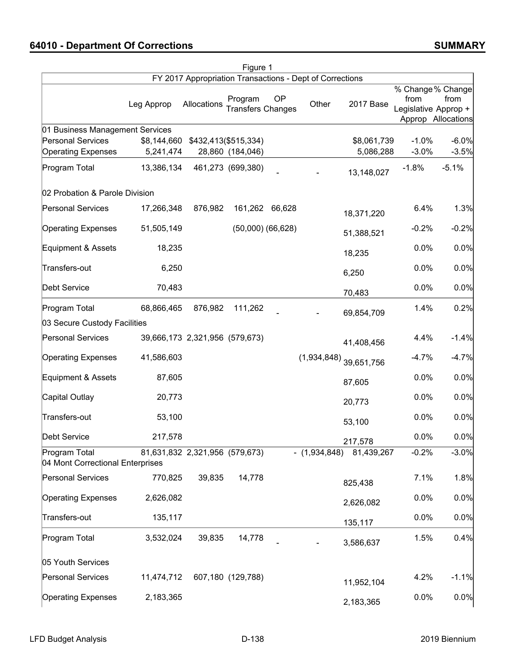| 64010 - Department Of Corrections              |                                               |                                                          |                                     |    |       |                          |                                                                         | <b>SUMMARY</b>     |
|------------------------------------------------|-----------------------------------------------|----------------------------------------------------------|-------------------------------------|----|-------|--------------------------|-------------------------------------------------------------------------|--------------------|
|                                                |                                               |                                                          | Figure 1                            |    |       |                          |                                                                         |                    |
|                                                |                                               | FY 2017 Appropriation Transactions - Dept of Corrections |                                     |    |       |                          |                                                                         |                    |
|                                                | Leg Approp                                    | Allocations                                              | Program<br><b>Transfers Changes</b> | OP | Other | 2017 Base                | % Change % Change<br>from<br>Legislative Approp +<br>Approp Allocations | from               |
| 01 Business Management Services                |                                               |                                                          |                                     |    |       |                          |                                                                         |                    |
| Personal Services<br><b>Operating Expenses</b> | \$8,144,660 \$432,413(\$515,334)<br>5,241,474 |                                                          | 28,860 (184,046)                    |    |       | \$8,061,739<br>5,086,288 | $-1.0%$<br>$-3.0%$                                                      | $-6.0%$<br>$-3.5%$ |
| Program Total                                  | 13,386,134                                    |                                                          | 461,273 (699,380)                   |    |       | 13,148,027               | $-1.8%$                                                                 | $-5.1%$            |
| 02 Probation & Parole Division                 |                                               |                                                          |                                     |    |       |                          |                                                                         |                    |
| Personal Services                              | 17,266,348                                    | 876,982                                                  | 161,262 66,628                      |    |       | 18,371,220               | 6.4%                                                                    | 1.3%               |
| <b>Operating Expenses</b>                      | 51,505,149                                    |                                                          | $(50,000)$ $(66,628)$               |    |       | 51,388,521               | $-0.2%$                                                                 | $-0.2%$            |
| Equipment & Assets                             | 18,235                                        |                                                          |                                     |    |       | 18,235                   | 0.0%                                                                    | 0.0%               |
| Transfers-out                                  | 6,250                                         |                                                          |                                     |    |       | 6,250                    | 0.0%                                                                    | 0.0%               |
| Debt Service                                   | 70,483                                        |                                                          |                                     |    |       | 70,483                   | 0.0%                                                                    | 0.0%               |
| Program Total                                  | 68,866,465                                    | 876,982                                                  | 111,262                             |    |       | 69,854,709               | 1.4%                                                                    | 0.2%               |
| 03 Secure Custody Facilities                   |                                               |                                                          |                                     |    |       |                          |                                                                         |                    |
| Personal Services                              | 39,666,173 2,321,956 (579,673)                |                                                          |                                     |    |       | 41,408,456               | 4.4%                                                                    | $-1.4%$            |
| <b>Operating Expenses</b>                      | 41,586,603                                    |                                                          |                                     |    |       | $(1,934,848)$ 39,651,756 | $-4.7%$                                                                 | $-4.7%$            |
| Equipment & Assets                             | 87,605                                        |                                                          |                                     |    |       | 87,605                   | 0.0%                                                                    | 0.0%               |
| Capital Outlay                                 | 20,773                                        |                                                          |                                     |    |       | 20,773                   | 0.0%                                                                    | 0.0%               |
| Tranefare out.                                 | 53.100                                        |                                                          |                                     |    |       |                          | በ በ%                                                                    | በ በ%               |

| Equipment & Assets                                | 18,235                         |         |                   |                 | 18,235                   | 0.0%    | 0.0%    |
|---------------------------------------------------|--------------------------------|---------|-------------------|-----------------|--------------------------|---------|---------|
| Transfers-out                                     | 6,250                          |         |                   |                 | 6,250                    | 0.0%    | 0.0%    |
| Debt Service                                      | 70,483                         |         |                   |                 | 70,483                   | 0.0%    | 0.0%    |
| Program Total                                     | 68,866,465                     | 876,982 | 111,262           |                 | 69,854,709               | 1.4%    | 0.2%    |
| 03 Secure Custody Facilities                      |                                |         |                   |                 |                          |         |         |
| Personal Services                                 | 39,666,173 2,321,956 (579,673) |         |                   |                 | 41,408,456               | 4.4%    | $-1.4%$ |
| <b>Operating Expenses</b>                         | 41,586,603                     |         |                   |                 | $(1,934,848)$ 39,651,756 | $-4.7%$ | $-4.7%$ |
| Equipment & Assets                                | 87,605                         |         |                   |                 | 87,605                   | 0.0%    | 0.0%    |
| Capital Outlay                                    | 20,773                         |         |                   |                 | 20,773                   | 0.0%    | 0.0%    |
| Transfers-out                                     | 53,100                         |         |                   |                 | 53,100                   | 0.0%    | 0.0%    |
| Debt Service                                      | 217,578                        |         |                   |                 | 217,578                  | 0.0%    | 0.0%    |
| Program Total<br>04 Mont Correctional Enterprises | 81,631,832 2,321,956 (579,673) |         |                   | $-$ (1,934,848) | 81,439,267               | $-0.2%$ | $-3.0%$ |
| Personal Services                                 | 770,825                        | 39,835  | 14,778            |                 | 825,438                  | 7.1%    | 1.8%    |
| <b>Operating Expenses</b>                         | 2,626,082                      |         |                   |                 | 2,626,082                | 0.0%    | 0.0%    |
| Transfers-out                                     | 135,117                        |         |                   |                 | 135,117                  | 0.0%    | 0.0%    |
| Program Total                                     | 3,532,024                      | 39,835  | 14,778            |                 | 3,586,637                | 1.5%    | 0.4%    |
| 05 Youth Services                                 |                                |         |                   |                 |                          |         |         |
| Personal Services                                 | 11,474,712                     |         | 607,180 (129,788) |                 | 11,952,104               | 4.2%    | $-1.1%$ |
| <b>Operating Expenses</b>                         | 2,183,365                      |         |                   |                 | 2,183,365                | 0.0%    | 0.0%    |
|                                                   |                                |         |                   |                 |                          |         |         |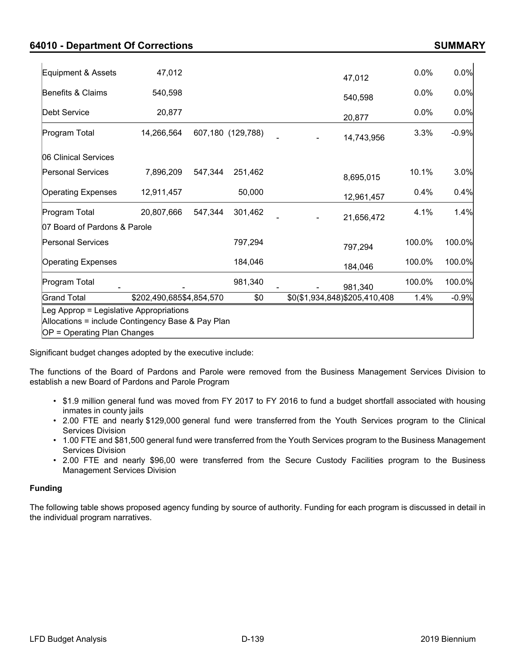| Equipment & Assets                                | 47,012                   |         |                   |                               | 47,012     | 0.0%   | 0.0%    |  |
|---------------------------------------------------|--------------------------|---------|-------------------|-------------------------------|------------|--------|---------|--|
| Benefits & Claims                                 | 540,598                  |         |                   |                               | 540,598    | 0.0%   | 0.0%    |  |
| Debt Service                                      | 20,877                   |         |                   |                               | 20,877     | 0.0%   | 0.0%    |  |
| Program Total                                     | 14,266,564               |         | 607,180 (129,788) |                               | 14,743,956 | 3.3%   | $-0.9%$ |  |
| 06 Clinical Services                              |                          |         |                   |                               |            |        |         |  |
| Personal Services                                 | 7,896,209                | 547,344 | 251,462           |                               | 8,695,015  | 10.1%  | 3.0%    |  |
| <b>Operating Expenses</b>                         | 12,911,457               |         | 50,000            |                               | 12,961,457 | 0.4%   | 0.4%    |  |
| Program Total                                     | 20,807,666               | 547,344 | 301,462           |                               | 21,656,472 | 4.1%   | 1.4%    |  |
| 07 Board of Pardons & Parole                      |                          |         |                   |                               |            |        |         |  |
| Personal Services                                 |                          |         | 797,294           |                               | 797,294    | 100.0% | 100.0%  |  |
| <b>Operating Expenses</b>                         |                          |         | 184,046           |                               | 184,046    | 100.0% | 100.0%  |  |
| Program Total                                     |                          |         | 981,340           |                               | 981,340    | 100.0% | 100.0%  |  |
| <b>Grand Total</b>                                | \$202,490,685\$4,854,570 |         | \$0               | \$0(\$1,934,848)\$205,410,408 |            | 1.4%   | $-0.9%$ |  |
| Leg Approp = Legislative Appropriations           |                          |         |                   |                               |            |        |         |  |
| Allocations = include Contingency Base & Pay Plan |                          |         |                   |                               |            |        |         |  |
| OP = Operating Plan Changes                       |                          |         |                   |                               |            |        |         |  |

Significant budget changes adopted by the executive include:

The functions of the Board of Pardons and Parole were removed from the Business Management Services Division to establish a new Board of Pardons and Parole Program

- \$1.9 million general fund was moved from FY 2017 to FY 2016 to fund a budget shortfall associated with housing inmates in county jails
- 2.00 FTE and nearly \$129,000 general fund were transferred from the Youth Services program to the Clinical Services Division
- 1.00 FTE and \$81,500 general fund were transferred from the Youth Services program to the Business Management Services Division
- 2.00 FTE and nearly \$96,00 were transferred from the Secure Custody Facilities program to the Business Management Services Division

## **Funding**

The following table shows proposed agency funding by source of authority. Funding for each program is discussed in detail in the individual program narratives.